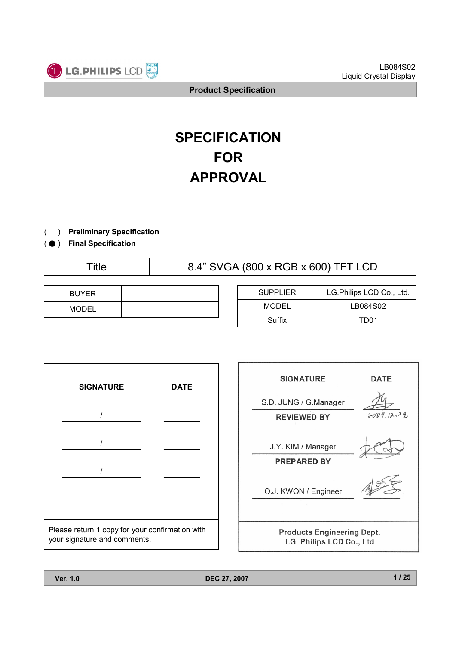

# **SPECIFICATION FOR APPROVAL**

- ) **Preliminary Specification**(
- ) ( ̻ **Final Specification**

Title 1.4" SVGA (800 x RGB x 600) TFT LCD

| <b>BUYER</b> |  |
|--------------|--|
| <b>MODEL</b> |  |

| <b>SUPPLIER</b> | LG.Philips LCD Co., Ltd. |  |  |
|-----------------|--------------------------|--|--|
| MODEL           | LB084S02                 |  |  |
| Suffix          | TD01                     |  |  |

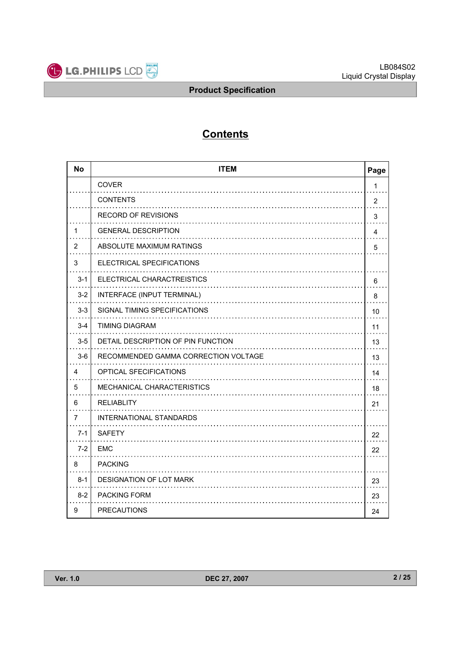

# **Contents**

| <b>No</b> | <b>ITEM</b>                          | Page           |
|-----------|--------------------------------------|----------------|
|           | <b>COVER</b>                         | 1              |
|           | <b>CONTENTS</b>                      | $\overline{2}$ |
|           | <b>RECORD OF REVISIONS</b>           | 3              |
| 1         | <b>GENERAL DESCRIPTION</b>           | 4              |
| 2         | ABSOLUTE MAXIMUM RATINGS             | 5              |
| 3         | ELECTRICAL SPECIFICATIONS            |                |
| $3 - 1$   | ELECTRICAL CHARACTREISTICS           | 6              |
| $3 - 2$   | INTERFACE (INPUT TERMINAL)           | 8              |
| $3-3$     | SIGNAL TIMING SPECIFICATIONS         | 10             |
| $3 - 4$   | <b>TIMING DIAGRAM</b>                | 11             |
| $3-5$     | DETAIL DESCRIPTION OF PIN FUNCTION   | 13             |
| $3-6$     | RECOMMENDED GAMMA CORRECTION VOLTAGE | 13             |
| 4         | OPTICAL SFECIFICATIONS               | 14             |
| 5         | MECHANICAL CHARACTERISTICS           | 18             |
| 6         | <b>RELIABLITY</b>                    | 21             |
| 7         | <b>INTERNATIONAL STANDARDS</b>       |                |
| $7 - 1$   | <b>SAFETY</b>                        | 22             |
| $7-2$     | <b>EMC</b>                           | 22             |
| 8         | <b>PACKING</b>                       |                |
| $8 - 1$   | DESIGNATION OF LOT MARK              | 23             |
| $8 - 2$   | PACKING FORM                         | 23             |
| 9         | <b>PRECAUTIONS</b>                   | 24             |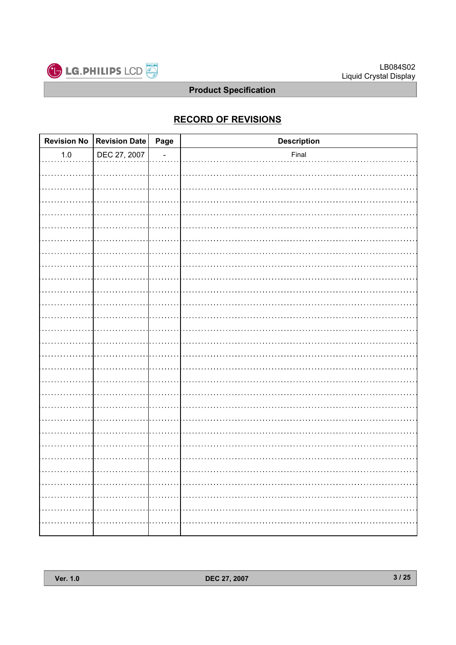

# **RECORD OF REVISIONS**

|         | Revision No Revision Date Page | <b>Description</b> |
|---------|--------------------------------|--------------------|
| $1.0\,$ | DEC 27, 2007                   | Final              |
|         |                                |                    |
|         |                                |                    |
|         |                                |                    |
|         |                                |                    |
|         |                                |                    |
|         |                                |                    |
|         |                                |                    |
|         |                                |                    |
|         |                                |                    |
|         |                                |                    |
|         |                                |                    |
|         |                                |                    |
|         |                                |                    |
|         |                                |                    |
|         |                                |                    |
|         |                                |                    |
|         |                                |                    |
|         |                                |                    |
|         |                                |                    |
|         |                                |                    |
|         |                                |                    |
|         |                                |                    |
|         |                                |                    |
|         |                                |                    |
|         |                                |                    |
| .       |                                |                    |
|         |                                |                    |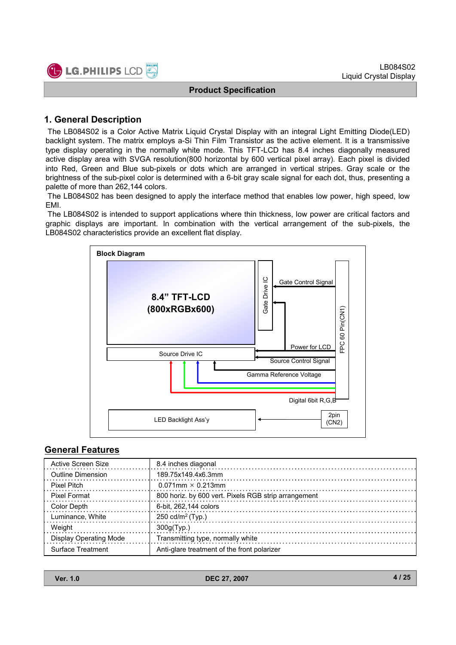

# **1. General Description**

The LB084S02 is a Color Active Matrix Liquid Crystal Display with an integral Light Emitting Diode(LED) backlight system. The matrix employs a-Si Thin Film Transistor as the active element. It is a transmissive type display operating in the normally white mode. This TFT-LCD has 8.4 inches diagonally measured active display area with SVGA resolution(800 horizontal by 600 vertical pixel array). Each pixel is divided into Red, Green and Blue sub-pixels or dots which are arranged in vertical stripes. Gray scale or the brightness of the sub-pixel color is determined with a 6-bit gray scale signal for each dot, thus, presenting a palette of more than 262,144 colors.

The LB084S02 has been designed to apply the interface method that enables low power, high speed, low EMI.

The LB084S02 is intended to support applications where thin thickness, low power are critical factors and graphic displays are important. In combination with the vertical arrangement of the sub-pixels, the LB084S02 characteristics provide an excellent flat display.



# **General Features**

| Active Screen Size            | 8.4 inches diagonal                                  |
|-------------------------------|------------------------------------------------------|
| <b>Outline Dimension</b>      | 189.75x149.4x6.3mm                                   |
| Pixel Pitch                   | $0.071$ mm $\times$ 0.213mm                          |
| <b>Pixel Format</b>           | 800 horiz. by 600 vert. Pixels RGB strip arrangement |
| Color Depth                   | 6-bit, 262,144 colors                                |
| Luminance, White              | 250 cd/m <sup>2</sup> (Typ.)                         |
| Weight                        | 300q(Tvp.)                                           |
| <b>Display Operating Mode</b> | Transmitting type, normally white                    |
| Surface Treatment             | Anti-glare treatment of the front polarizer          |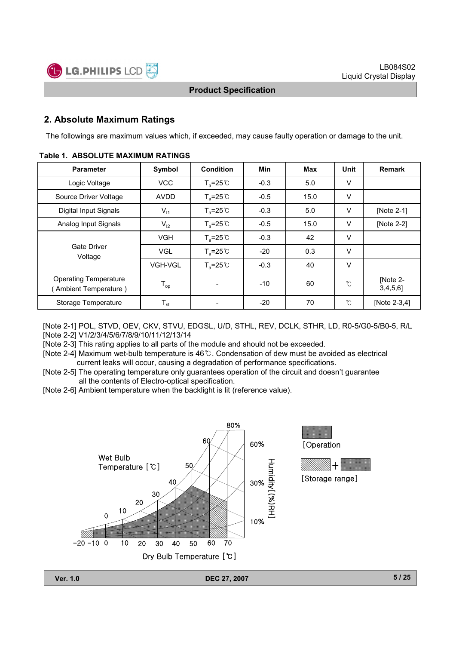

# **2. Absolute Maximum Ratings**

The followings are maximum values which, if exceeded, may cause faulty operation or damage to the unit.

| <b>Parameter</b>                                      | Symbol         | <b>Condition</b>    | Min    | Max  | Unit   | <b>Remark</b>           |
|-------------------------------------------------------|----------------|---------------------|--------|------|--------|-------------------------|
| Logic Voltage                                         | <b>VCC</b>     | $T_a = 25^{\circ}C$ | $-0.3$ | 5.0  | V      |                         |
| Source Driver Voltage                                 | <b>AVDD</b>    | $T_a = 25^{\circ}$  | $-0.5$ | 15.0 | $\vee$ |                         |
| Digital Input Signals                                 | $V_{11}$       | $T_a = 25^{\circ}C$ | $-0.3$ | 5.0  | $\vee$ | [Note 2-1]              |
| Analog Input Signals                                  | $V_{12}$       | $T_a = 25^{\circ}C$ | $-0.5$ | 15.0 | V      | [Note 2-2]              |
|                                                       | <b>VGH</b>     | $T_a = 25^{\circ}C$ | $-0.3$ | 42   | V      |                         |
| Gate Driver<br>Voltage                                | <b>VGL</b>     | $T_a = 25^{\circ}C$ | $-20$  | 0.3  | $\vee$ |                         |
|                                                       | <b>VGH-VGL</b> | $T_a = 25^{\circ}C$ | $-0.3$ | 40   | $\vee$ |                         |
| <b>Operating Temperature</b><br>(Ambient Temperature) | $T_{op}$       |                     | $-10$  | 60   | ົົ     | [Note 2-<br>$3,4,5,6$ ] |
| Storage Temperature                                   | $T_{st}$       |                     | $-20$  | 70   | ົົ     | [Note 2-3,4]            |

#### **Table 1. ABSOLUTE MAXIMUM RATINGS**

[Note 2-1] POL, STVD, OEV, CKV, STVU, EDGSL, U/D, STHL, REV, DCLK, STHR, LD, R0-5/G0-5/B0-5, R/L [Note 2-2] V1/2/3/4/5/6/7/8/9/10/11/12/13/14

[Note 2-3] This rating applies to all parts of the module and should not be exceeded.

[Note 2-4] Maximum wet-bulb temperature is 46°C. Condensation of dew must be avoided as electrical current leaks will occur, causing a degradation of performance specifications.

[Note 2-5] The operating temperature only guarantees operation of the circuit and doesn't guarantee all the contents of Electro-optical specification.

[Note 2-6] Ambient temperature when the backlight is lit (reference value).

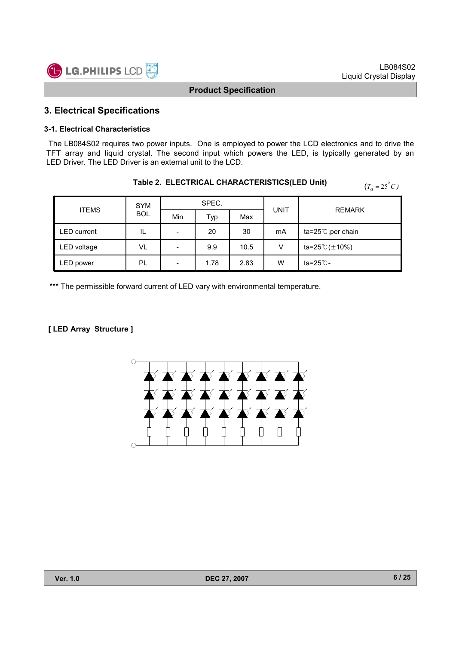



# **3. Electrical Specifications**

#### **3-1. Electrical Characteristics**

The LB084S02 requires two power inputs. One is employed to power the LCD electronics and to drive the TFT array and liquid crystal. The second input which powers the LED, is typically generated by an LED Driver. The LED Driver is an external unit to the LCD.

**Table 2. ELECTRICAL CHARACTERISTICS(LED Unit)**

| I ADIE Z.  ELECTRICAL CHARACTERISTICS(LED UNIt)<br>$(T_a = 25^{\circ}C)$ |                                    |                              |      |      |    |                        |  |  |  |
|--------------------------------------------------------------------------|------------------------------------|------------------------------|------|------|----|------------------------|--|--|--|
| <b>ITEMS</b>                                                             | SPEC.<br><b>SYM</b><br><b>UNIT</b> |                              |      |      |    | <b>REMARK</b>          |  |  |  |
|                                                                          | <b>BOL</b>                         | Min                          | Typ  | Max  |    |                        |  |  |  |
| LED current                                                              | IL                                 | $\overline{\phantom{a}}$     | 20   | 30   | mA | ta=25 $°C$ , per chain |  |  |  |
| LED voltage                                                              | VL                                 | $\qquad \qquad \blacksquare$ | 9.9  | 10.5 | V  | ta=25 $C(\pm 10\%)$    |  |  |  |
| LED power                                                                | PL                                 | $\qquad \qquad \blacksquare$ | 1.78 | 2.83 | W  | ta=25 ℃-               |  |  |  |

\*\*\* The permissible forward current of LED vary with environmental temperature.

#### **[ LED Array Structure ]**

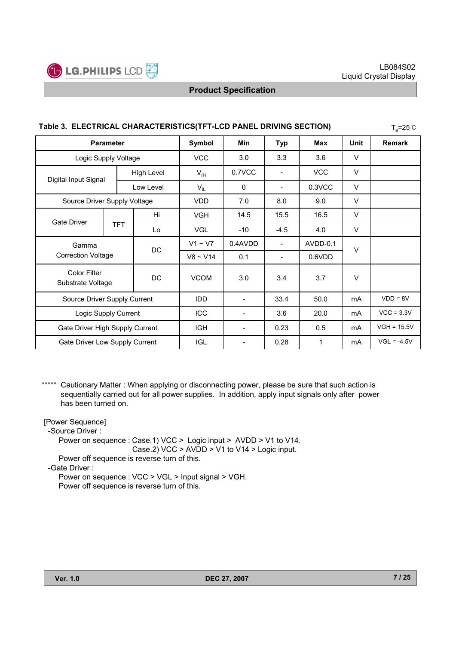

| Table 3. ELECTRICAL CHARACTERISTICS(TFT-LCD PANEL DRIVING SECTION)<br>$T_a = 25^{\circ}C$ |                      |                   |                 |                          |                          |            |        |               |
|-------------------------------------------------------------------------------------------|----------------------|-------------------|-----------------|--------------------------|--------------------------|------------|--------|---------------|
| <b>Parameter</b>                                                                          |                      |                   | Symbol          | Min                      | <b>Typ</b>               | Max        | Unit   | <b>Remark</b> |
|                                                                                           | Logic Supply Voltage |                   | <b>VCC</b>      | 3.0                      | 3.3                      | 3.6        | V      |               |
|                                                                                           |                      | <b>High Level</b> | $V_{\text{IH}}$ | 0.7VCC                   |                          | <b>VCC</b> | $\vee$ |               |
| Digital Input Signal                                                                      |                      | Low Level         | $V_{IL}$        | $\mathbf{0}$             | $\overline{\phantom{0}}$ | 0.3VCC     | $\vee$ |               |
| Source Driver Supply Voltage                                                              |                      |                   | <b>VDD</b>      | 7.0                      | 8.0                      | 9.0        | V      |               |
| <b>Gate Driver</b>                                                                        |                      | Hi                | <b>VGH</b>      | 14.5                     | 15.5                     | 16.5       | $\vee$ |               |
|                                                                                           | <b>TFT</b>           | Lo                | <b>VGL</b>      | $-10$                    | $-4.5$                   | 4.0        | V      |               |
| Gamma                                                                                     |                      | DC                | $V1 \sim V7$    | 0.4AVDD                  |                          | AVDD-0.1   | $\vee$ |               |
| <b>Correction Voltage</b>                                                                 |                      |                   | $V8 \sim V14$   | 0.1                      |                          | 0.6VDD     |        |               |
| <b>Color Filter</b><br>DC<br>Substrate Voltage                                            |                      |                   | <b>VCOM</b>     | 3.0                      | 3.4                      | 3.7        | $\vee$ |               |
| Source Driver Supply Current                                                              |                      |                   | IDD             |                          | 33.4                     | 50.0       | mA     | $VDD = 8V$    |
| Logic Supply Current                                                                      |                      |                   | ICC             | $\overline{\phantom{a}}$ | 3.6                      | 20.0       | mA     | $VCC = 3.3V$  |
| Gate Driver High Supply Current                                                           |                      |                   | <b>IGH</b>      | $\overline{\phantom{a}}$ | 0.23                     | 0.5        | mA     | $VGH = 15.5V$ |
| Gate Driver Low Supply Current                                                            |                      |                   | <b>IGL</b>      |                          | 0.28                     | 1          | mA     | $VGL = -4.5V$ |

\*\*\*\*\* Cautionary Matter : When applying or disconnecting power, please be sure that such action is sequentially carried out for all power supplies. In addition, apply input signals only after power has been turned on.

[Power Sequence] -Source Driver : Power on sequence : Case.1) VCC > Logic input > AVDD > V1 to V14. Case.2) VCC > AVDD > V1 to V14 > Logic input. Power off sequence is reverse turn of this. -Gate Driver : Power on sequence : VCC > VGL > Input signal > VGH.

Power off sequence is reverse turn of this.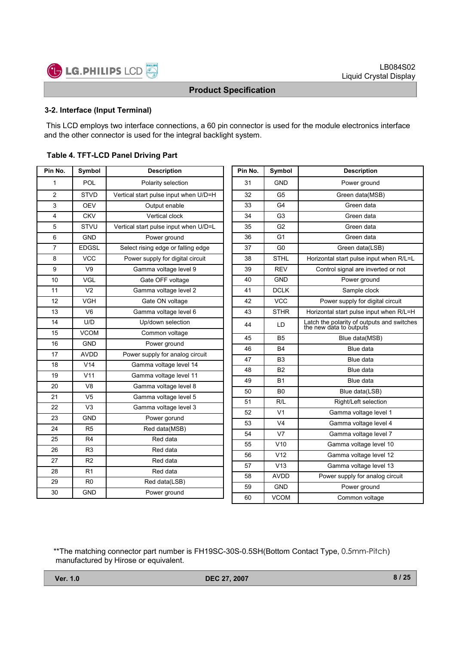

#### **3-2. Interface (Input Terminal)**

This LCD employs two interface connections, a 60 pin connector is used for the module electronics interface and the other connector is used for the integral backlight system.

| Table 4. TFT-LCD Panel Driving Part |
|-------------------------------------|
|-------------------------------------|

| POL<br>1<br>31<br><b>GND</b><br>Polarity selection<br>$\overline{c}$<br><b>STVD</b><br>Vertical start pulse input when U/D=H<br>32<br>G <sub>5</sub><br>3<br><b>OEV</b><br>Output enable<br>33<br>G <sub>4</sub><br><b>CKV</b><br>4<br>Vertical clock<br>34<br>G <sub>3</sub><br>5<br>STVU<br>Vertical start pulse input when U/D=L<br>35<br>G <sub>2</sub><br><b>GND</b><br>6<br>Power ground<br>36<br>G1<br>$\overline{7}$<br><b>EDGSL</b><br>Select rising edge or falling edge<br>37<br>G <sub>0</sub><br><b>VCC</b><br><b>STHL</b><br>8<br>Power supply for digital circuit<br>38<br>9<br>V <sub>9</sub><br>Gamma voltage level 9<br><b>REV</b><br>39<br>10<br>VGL<br>Gate OFF voltage<br><b>GND</b><br>40<br><b>DCLK</b><br>V <sub>2</sub><br>41<br>11<br>Gamma voltage level 2<br>12<br><b>VCC</b><br><b>VGH</b><br>Gate ON voltage<br>42<br>13<br>V <sub>6</sub><br>43<br><b>STHR</b><br>Gamma voltage level 6<br>14<br>U/D<br>Up/down selection<br>44<br>LD<br>the ne<br><b>VCOM</b><br>15<br>Common voltage<br>B <sub>5</sub><br>45<br><b>GND</b><br>16<br>Power ground<br>46<br><b>B4</b><br>17<br><b>AVDD</b><br>Power supply for analog circuit<br>47<br>B <sub>3</sub><br>V14<br>18<br>Gamma voltage level 14<br><b>B2</b><br>48<br>V11<br>19<br>Gamma voltage level 11<br>49<br><b>B1</b><br>20<br>V <sub>8</sub><br>Gamma voltage level 8<br>B <sub>0</sub><br>50<br>21<br>V <sub>5</sub><br>Gamma voltage level 5<br>51<br>R/L<br>V <sub>3</sub><br>22<br>Gamma voltage level 3<br>V <sub>1</sub><br>52<br>23<br><b>GND</b><br>Power gorund<br>V4<br>53<br>24<br>R5<br>Red data(MSB)<br>V <sub>7</sub><br>54<br>25<br>R <sub>4</sub><br>Red data<br>V10<br>55<br>26<br>R3<br>Red data<br>56<br>V12<br>27<br>R <sub>2</sub><br>Red data<br>V13<br>57<br>28<br>R1<br>Red data<br><b>AVDD</b><br>58<br>29<br>R <sub>0</sub><br>Red data(LSB)<br>59<br>GND<br>30<br><b>GND</b><br>Power ground | Pin No. | Symbol | <b>Description</b> | Pin No. | Symbol      |       |
|-------------------------------------------------------------------------------------------------------------------------------------------------------------------------------------------------------------------------------------------------------------------------------------------------------------------------------------------------------------------------------------------------------------------------------------------------------------------------------------------------------------------------------------------------------------------------------------------------------------------------------------------------------------------------------------------------------------------------------------------------------------------------------------------------------------------------------------------------------------------------------------------------------------------------------------------------------------------------------------------------------------------------------------------------------------------------------------------------------------------------------------------------------------------------------------------------------------------------------------------------------------------------------------------------------------------------------------------------------------------------------------------------------------------------------------------------------------------------------------------------------------------------------------------------------------------------------------------------------------------------------------------------------------------------------------------------------------------------------------------------------------------------------------------------------------------------------------------------------------------------------------------------------------|---------|--------|--------------------|---------|-------------|-------|
|                                                                                                                                                                                                                                                                                                                                                                                                                                                                                                                                                                                                                                                                                                                                                                                                                                                                                                                                                                                                                                                                                                                                                                                                                                                                                                                                                                                                                                                                                                                                                                                                                                                                                                                                                                                                                                                                                                             |         |        |                    |         |             |       |
|                                                                                                                                                                                                                                                                                                                                                                                                                                                                                                                                                                                                                                                                                                                                                                                                                                                                                                                                                                                                                                                                                                                                                                                                                                                                                                                                                                                                                                                                                                                                                                                                                                                                                                                                                                                                                                                                                                             |         |        |                    |         |             |       |
|                                                                                                                                                                                                                                                                                                                                                                                                                                                                                                                                                                                                                                                                                                                                                                                                                                                                                                                                                                                                                                                                                                                                                                                                                                                                                                                                                                                                                                                                                                                                                                                                                                                                                                                                                                                                                                                                                                             |         |        |                    |         |             |       |
|                                                                                                                                                                                                                                                                                                                                                                                                                                                                                                                                                                                                                                                                                                                                                                                                                                                                                                                                                                                                                                                                                                                                                                                                                                                                                                                                                                                                                                                                                                                                                                                                                                                                                                                                                                                                                                                                                                             |         |        |                    |         |             |       |
|                                                                                                                                                                                                                                                                                                                                                                                                                                                                                                                                                                                                                                                                                                                                                                                                                                                                                                                                                                                                                                                                                                                                                                                                                                                                                                                                                                                                                                                                                                                                                                                                                                                                                                                                                                                                                                                                                                             |         |        |                    |         |             |       |
|                                                                                                                                                                                                                                                                                                                                                                                                                                                                                                                                                                                                                                                                                                                                                                                                                                                                                                                                                                                                                                                                                                                                                                                                                                                                                                                                                                                                                                                                                                                                                                                                                                                                                                                                                                                                                                                                                                             |         |        |                    |         |             |       |
|                                                                                                                                                                                                                                                                                                                                                                                                                                                                                                                                                                                                                                                                                                                                                                                                                                                                                                                                                                                                                                                                                                                                                                                                                                                                                                                                                                                                                                                                                                                                                                                                                                                                                                                                                                                                                                                                                                             |         |        |                    |         |             |       |
|                                                                                                                                                                                                                                                                                                                                                                                                                                                                                                                                                                                                                                                                                                                                                                                                                                                                                                                                                                                                                                                                                                                                                                                                                                                                                                                                                                                                                                                                                                                                                                                                                                                                                                                                                                                                                                                                                                             |         |        |                    |         |             | Horiz |
|                                                                                                                                                                                                                                                                                                                                                                                                                                                                                                                                                                                                                                                                                                                                                                                                                                                                                                                                                                                                                                                                                                                                                                                                                                                                                                                                                                                                                                                                                                                                                                                                                                                                                                                                                                                                                                                                                                             |         |        |                    |         |             | C     |
|                                                                                                                                                                                                                                                                                                                                                                                                                                                                                                                                                                                                                                                                                                                                                                                                                                                                                                                                                                                                                                                                                                                                                                                                                                                                                                                                                                                                                                                                                                                                                                                                                                                                                                                                                                                                                                                                                                             |         |        |                    |         |             |       |
|                                                                                                                                                                                                                                                                                                                                                                                                                                                                                                                                                                                                                                                                                                                                                                                                                                                                                                                                                                                                                                                                                                                                                                                                                                                                                                                                                                                                                                                                                                                                                                                                                                                                                                                                                                                                                                                                                                             |         |        |                    |         |             |       |
|                                                                                                                                                                                                                                                                                                                                                                                                                                                                                                                                                                                                                                                                                                                                                                                                                                                                                                                                                                                                                                                                                                                                                                                                                                                                                                                                                                                                                                                                                                                                                                                                                                                                                                                                                                                                                                                                                                             |         |        |                    |         |             |       |
|                                                                                                                                                                                                                                                                                                                                                                                                                                                                                                                                                                                                                                                                                                                                                                                                                                                                                                                                                                                                                                                                                                                                                                                                                                                                                                                                                                                                                                                                                                                                                                                                                                                                                                                                                                                                                                                                                                             |         |        |                    |         |             | Horiz |
|                                                                                                                                                                                                                                                                                                                                                                                                                                                                                                                                                                                                                                                                                                                                                                                                                                                                                                                                                                                                                                                                                                                                                                                                                                                                                                                                                                                                                                                                                                                                                                                                                                                                                                                                                                                                                                                                                                             |         |        |                    |         |             | Latch |
|                                                                                                                                                                                                                                                                                                                                                                                                                                                                                                                                                                                                                                                                                                                                                                                                                                                                                                                                                                                                                                                                                                                                                                                                                                                                                                                                                                                                                                                                                                                                                                                                                                                                                                                                                                                                                                                                                                             |         |        |                    |         |             |       |
|                                                                                                                                                                                                                                                                                                                                                                                                                                                                                                                                                                                                                                                                                                                                                                                                                                                                                                                                                                                                                                                                                                                                                                                                                                                                                                                                                                                                                                                                                                                                                                                                                                                                                                                                                                                                                                                                                                             |         |        |                    |         |             |       |
|                                                                                                                                                                                                                                                                                                                                                                                                                                                                                                                                                                                                                                                                                                                                                                                                                                                                                                                                                                                                                                                                                                                                                                                                                                                                                                                                                                                                                                                                                                                                                                                                                                                                                                                                                                                                                                                                                                             |         |        |                    |         |             |       |
|                                                                                                                                                                                                                                                                                                                                                                                                                                                                                                                                                                                                                                                                                                                                                                                                                                                                                                                                                                                                                                                                                                                                                                                                                                                                                                                                                                                                                                                                                                                                                                                                                                                                                                                                                                                                                                                                                                             |         |        |                    |         |             |       |
|                                                                                                                                                                                                                                                                                                                                                                                                                                                                                                                                                                                                                                                                                                                                                                                                                                                                                                                                                                                                                                                                                                                                                                                                                                                                                                                                                                                                                                                                                                                                                                                                                                                                                                                                                                                                                                                                                                             |         |        |                    |         |             |       |
|                                                                                                                                                                                                                                                                                                                                                                                                                                                                                                                                                                                                                                                                                                                                                                                                                                                                                                                                                                                                                                                                                                                                                                                                                                                                                                                                                                                                                                                                                                                                                                                                                                                                                                                                                                                                                                                                                                             |         |        |                    |         |             |       |
|                                                                                                                                                                                                                                                                                                                                                                                                                                                                                                                                                                                                                                                                                                                                                                                                                                                                                                                                                                                                                                                                                                                                                                                                                                                                                                                                                                                                                                                                                                                                                                                                                                                                                                                                                                                                                                                                                                             |         |        |                    |         |             |       |
|                                                                                                                                                                                                                                                                                                                                                                                                                                                                                                                                                                                                                                                                                                                                                                                                                                                                                                                                                                                                                                                                                                                                                                                                                                                                                                                                                                                                                                                                                                                                                                                                                                                                                                                                                                                                                                                                                                             |         |        |                    |         |             |       |
|                                                                                                                                                                                                                                                                                                                                                                                                                                                                                                                                                                                                                                                                                                                                                                                                                                                                                                                                                                                                                                                                                                                                                                                                                                                                                                                                                                                                                                                                                                                                                                                                                                                                                                                                                                                                                                                                                                             |         |        |                    |         |             |       |
|                                                                                                                                                                                                                                                                                                                                                                                                                                                                                                                                                                                                                                                                                                                                                                                                                                                                                                                                                                                                                                                                                                                                                                                                                                                                                                                                                                                                                                                                                                                                                                                                                                                                                                                                                                                                                                                                                                             |         |        |                    |         |             |       |
|                                                                                                                                                                                                                                                                                                                                                                                                                                                                                                                                                                                                                                                                                                                                                                                                                                                                                                                                                                                                                                                                                                                                                                                                                                                                                                                                                                                                                                                                                                                                                                                                                                                                                                                                                                                                                                                                                                             |         |        |                    |         |             |       |
|                                                                                                                                                                                                                                                                                                                                                                                                                                                                                                                                                                                                                                                                                                                                                                                                                                                                                                                                                                                                                                                                                                                                                                                                                                                                                                                                                                                                                                                                                                                                                                                                                                                                                                                                                                                                                                                                                                             |         |        |                    |         |             |       |
|                                                                                                                                                                                                                                                                                                                                                                                                                                                                                                                                                                                                                                                                                                                                                                                                                                                                                                                                                                                                                                                                                                                                                                                                                                                                                                                                                                                                                                                                                                                                                                                                                                                                                                                                                                                                                                                                                                             |         |        |                    |         |             |       |
|                                                                                                                                                                                                                                                                                                                                                                                                                                                                                                                                                                                                                                                                                                                                                                                                                                                                                                                                                                                                                                                                                                                                                                                                                                                                                                                                                                                                                                                                                                                                                                                                                                                                                                                                                                                                                                                                                                             |         |        |                    |         |             |       |
|                                                                                                                                                                                                                                                                                                                                                                                                                                                                                                                                                                                                                                                                                                                                                                                                                                                                                                                                                                                                                                                                                                                                                                                                                                                                                                                                                                                                                                                                                                                                                                                                                                                                                                                                                                                                                                                                                                             |         |        |                    |         |             |       |
|                                                                                                                                                                                                                                                                                                                                                                                                                                                                                                                                                                                                                                                                                                                                                                                                                                                                                                                                                                                                                                                                                                                                                                                                                                                                                                                                                                                                                                                                                                                                                                                                                                                                                                                                                                                                                                                                                                             |         |        |                    | 60      | <b>VCOM</b> |       |

| Pin No. | Symbol          | <b>Description</b>                                                    |  |
|---------|-----------------|-----------------------------------------------------------------------|--|
| 31      | <b>GND</b>      | Power ground                                                          |  |
| 32      | G <sub>5</sub>  | Green data(MSB)                                                       |  |
| 33      | G4              | Green data                                                            |  |
| 34      | G <sub>3</sub>  | Green data                                                            |  |
| 35      | G <sub>2</sub>  | Green data                                                            |  |
| 36      | G <sub>1</sub>  | Green data                                                            |  |
| 37      | G <sub>0</sub>  | Green data(LSB)                                                       |  |
| 38      | <b>STHL</b>     | Horizontal start pulse input when R/L=L                               |  |
| 39      | <b>REV</b>      | Control signal are inverted or not                                    |  |
| 40      | <b>GND</b>      | Power ground                                                          |  |
| 41      | <b>DCLK</b>     | Sample clock                                                          |  |
| 42      | <b>VCC</b>      | Power supply for digital circuit                                      |  |
| 43      | <b>STHR</b>     | Horizontal start pulse input when R/L=H                               |  |
| 44      | LD              | Latch the polarity of outputs and switches<br>the new data to outputs |  |
| 45      | <b>B5</b>       | Blue data(MSB)                                                        |  |
| 46      | <b>B4</b>       | Blue data                                                             |  |
| 47      | B3              | Blue data                                                             |  |
| 48      | <b>B2</b>       | Blue data                                                             |  |
| 49      | <b>B1</b>       | Blue data                                                             |  |
| 50      | B <sub>0</sub>  | Blue data(LSB)                                                        |  |
| 51      | R/L             | Right/Left selection                                                  |  |
| 52      | V <sub>1</sub>  | Gamma voltage level 1                                                 |  |
| 53      | V <sub>4</sub>  | Gamma voltage level 4                                                 |  |
| 54      | V <sub>7</sub>  | Gamma voltage level 7                                                 |  |
| 55      | V10             | Gamma voltage level 10                                                |  |
| 56      | V <sub>12</sub> | Gamma voltage level 12                                                |  |
| 57      | V13             | Gamma voltage level 13                                                |  |
| 58      | <b>AVDD</b>     | Power supply for analog circuit                                       |  |
| 59      | <b>GND</b>      | Power ground                                                          |  |
| 60      | <b>VCOM</b>     | Common voltage                                                        |  |

#### \*\*The matching connector part number is FH19SC-30S-0.5SH(Bottom Contact Type, 0.5mm-Pitch) manufactured by Hirose or equivalent.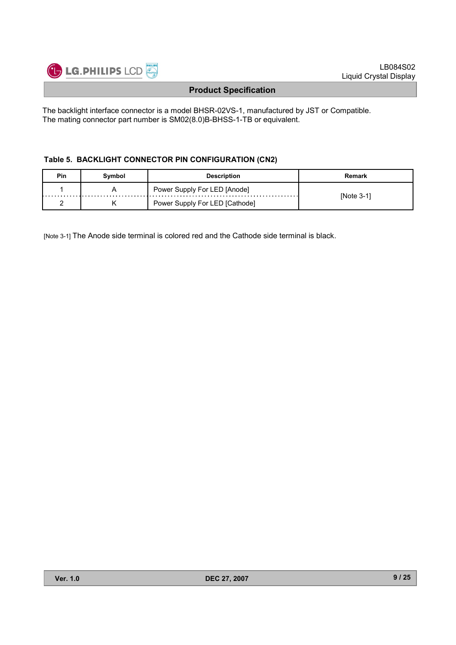

The backlight interface connector is a model BHSR-02VS-1, manufactured by JST or Compatible. The mating connector part number is SM02(8.0)B-BHSS-1-TB or equivalent.

#### **Table 5. BACKLIGHT CONNECTOR PIN CONFIGURATION (CN2)**

| Pin | Symbol | <b>Description</b>             | Remark       |
|-----|--------|--------------------------------|--------------|
|     |        | Power Supply For LED [Anode]   |              |
|     |        | Power Supply For LED [Cathode] | $INote 3-11$ |

[Note 3-1] The Anode side terminal is colored red and the Cathode side terminal is black.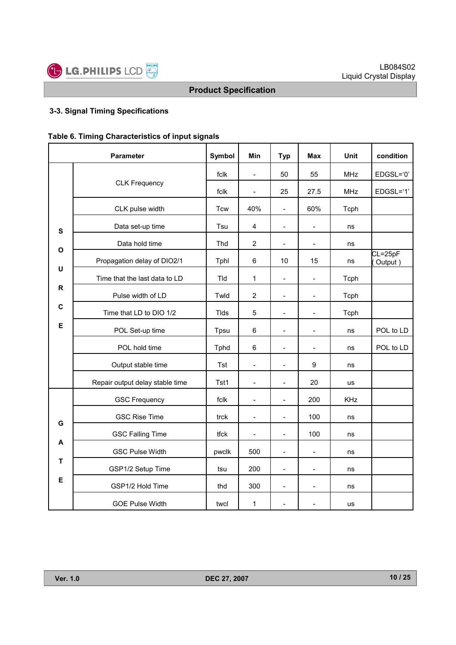

# **3-3. Signal Timing Specifications**

| Table 6. Timing Characteristics of input signals |
|--------------------------------------------------|
|--------------------------------------------------|

|           | <b>Parameter</b>                                                | Symbol      | Min                      | <b>Typ</b>               | <b>Max</b>               | Unit       | condition              |
|-----------|-----------------------------------------------------------------|-------------|--------------------------|--------------------------|--------------------------|------------|------------------------|
|           |                                                                 | fclk        | $\overline{\phantom{a}}$ | 50                       | 55                       | <b>MHz</b> | EDGSL='0'              |
|           | <b>CLK Frequency</b>                                            | fclk        |                          | 25                       | 27.5                     | <b>MHz</b> | EDGSL='1'              |
|           | CLK pulse width                                                 | <b>Tcw</b>  | 40%                      | $\overline{\phantom{a}}$ | 60%                      | Tcph       |                        |
| ${\bf s}$ | Data set-up time                                                | Tsu         | $\overline{\mathbf{4}}$  | $\overline{\phantom{a}}$ | $\overline{a}$           | ns         |                        |
|           | Data hold time                                                  | Thd         | $\overline{2}$           | $\overline{\phantom{a}}$ | $\overline{\phantom{a}}$ | ns         |                        |
| O         | Propagation delay of DIO2/1                                     | Tphl        | 6                        | 10                       | 15                       | ns         | $CL = 25pF$<br>Output) |
| U         | Time that the last data to LD                                   | Tld         | 1                        | $\blacksquare$           | $\overline{a}$           | Tcph       |                        |
| R         | Pulse width of LD<br>Time that LD to DIO 1/2<br>POL Set-up time | Twld        | $\overline{2}$           | $\blacksquare$           | $\blacksquare$           | Tcph       |                        |
| C         |                                                                 | <b>Tlds</b> | 5                        | $\frac{1}{2}$            | $\overline{a}$           | Tcph       |                        |
| Е         |                                                                 | Tpsu        | 6                        | ÷                        |                          | ns         | POL to LD              |
|           | POL hold time                                                   | Tphd        | 6                        | $\overline{a}$           |                          | ns         | POL to LD              |
|           | Output stable time                                              | <b>Tst</b>  | $\overline{\phantom{a}}$ | $\overline{a}$           | $\boldsymbol{9}$         | ns         |                        |
|           | Repair output delay stable time                                 | Tst1        | $\overline{\phantom{a}}$ | $\frac{1}{2}$            | 20                       | us         |                        |
|           | <b>GSC Frequency</b>                                            | fclk        | $\overline{\phantom{a}}$ |                          | 200                      | <b>KHz</b> |                        |
| G         | <b>GSC Rise Time</b>                                            | trck        | $\overline{a}$           | $\overline{a}$           | 100                      | ns         |                        |
|           | <b>GSC Falling Time</b>                                         | tfck        | $\overline{\phantom{a}}$ | $\blacksquare$           | 100                      | ns         |                        |
| A         | <b>GSC Pulse Width</b>                                          | pwclk       | 500                      | $\overline{\phantom{a}}$ | $\overline{a}$           | ns         |                        |
| T         | GSP1/2 Setup Time                                               | tsu         | 200                      | $\qquad \qquad -$        | $\overline{a}$           | ns         |                        |
| Е         | GSP1/2 Hold Time                                                | thd         | 300                      | $\overline{a}$           | $\overline{a}$           | ns         |                        |
|           | <b>GOE Pulse Width</b>                                          | twcl        | 1                        | $\overline{a}$           |                          | <b>us</b>  |                        |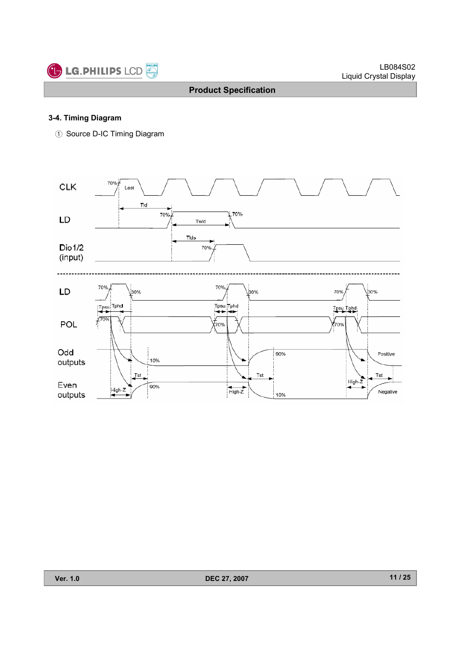

#### **3-4. Timing Diagram**

ྙ Source D-IC Timing Diagram

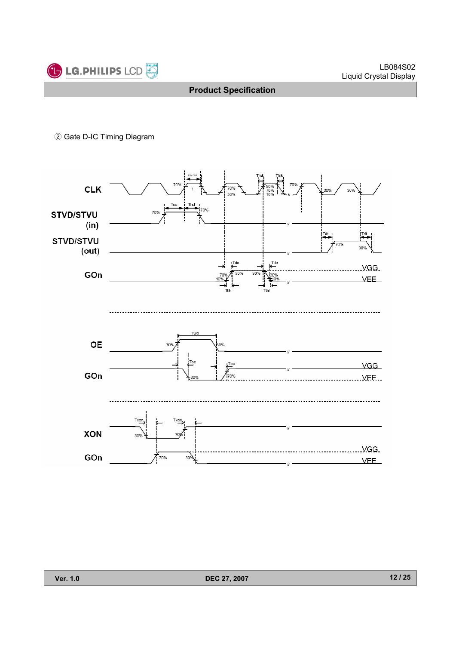

ྚ Gate D-IC Timing Diagram

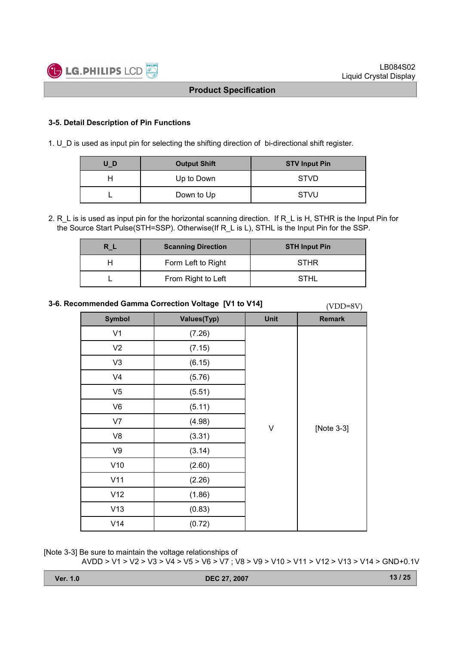

#### **3-5. Detail Description of Pin Functions**

1. U D is used as input pin for selecting the shifting direction of bi-directional shift register.

| U_D | <b>Output Shift</b> | <b>STV Input Pin</b> |
|-----|---------------------|----------------------|
|     | Up to Down          | <b>STVD</b>          |
|     | Down to Up          | <b>STVU</b>          |

2. R L is is used as input pin for the horizontal scanning direction. If R L is H, STHR is the Input Pin for the Source Start Pulse(STH=SSP). Otherwise(If R\_L is L), STHL is the Input Pin for the SSP.

| R L | <b>Scanning Direction</b> | <b>STH Input Pin</b> |
|-----|---------------------------|----------------------|
|     | Form Left to Right        | <b>STHR</b>          |
|     | From Right to Left        | <b>STHL</b>          |

# **3-6. Recommended Gamma Correction Voltage [V1 to V14]** (VDD=8V)

| <b>Symbol</b>  | Values(Typ) | Unit | <b>Remark</b> |
|----------------|-------------|------|---------------|
| V <sub>1</sub> | (7.26)      |      |               |
| V <sub>2</sub> | (7.15)      |      |               |
| V3             | (6.15)      |      |               |
| V <sub>4</sub> | (5.76)      |      |               |
| V <sub>5</sub> | (5.51)      |      |               |
| V <sub>6</sub> | (5.11)      |      |               |
| V7             | (4.98)      |      |               |
| V8             | (3.31)      | V    | [Note 3-3]    |
| V9             | (3.14)      |      |               |
| V10            | (2.60)      |      |               |
| V11            | (2.26)      |      |               |
| V12            | (1.86)      |      |               |
| V13            | (0.83)      |      |               |
| V14            | (0.72)      |      |               |

[Note 3-3] Be sure to maintain the voltage relationships of AVDD > V1 > V2 > V3 > V4 > V5 > V6 > V7 ; V8 > V9 > V10 > V11 > V12 > V13 > V14 > GND+0.1V

| <b>Ver. 1.0</b> | DEC 27, 2007 | 13/25 |
|-----------------|--------------|-------|
|                 |              |       |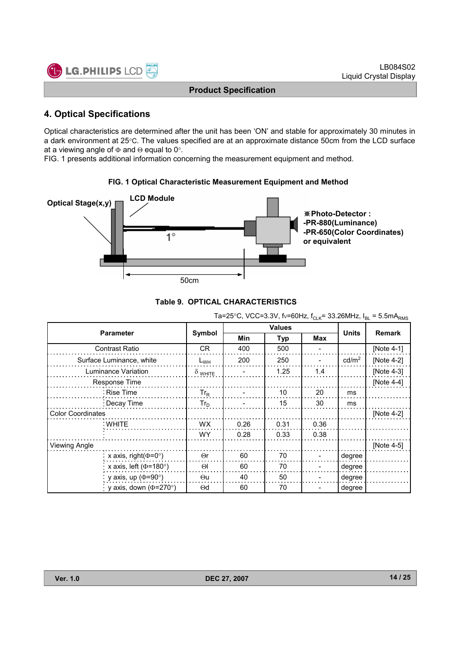

# **4. Optical Specifications**

Optical characteristics are determined after the unit has been 'ON' and stable for approximately 30 minutes in a dark environment at 25°C. The values specified are at an approximate distance 50cm from the LCD surface at a viewing angle of  $\Phi$  and  $\Theta$  equal to 0°.

FIG. 1 presents additional information concerning the measurement equipment and method.



#### **FIG. 1 Optical Characteristic Measurement Equipment and Method**



| Ta=25°C, VCC=3.3V, fv=60Hz, f <sub>CLK</sub> = 33.26MHz, $I_{BL}$ = 5.5mA <sub>RMS</sub> |                |                         |            |      |                   |               |  |  |  |  |
|------------------------------------------------------------------------------------------|----------------|-------------------------|------------|------|-------------------|---------------|--|--|--|--|
| <b>Parameter</b>                                                                         |                | <b>Values</b><br>Symbol |            |      |                   | <b>Remark</b> |  |  |  |  |
|                                                                                          |                | Min                     | <b>Typ</b> | Max  | <b>Units</b>      |               |  |  |  |  |
| Contrast Ratio                                                                           | CR.            | 400                     | 500        |      |                   | [Note 4-1]    |  |  |  |  |
| Surface Luminance, white                                                                 | $L_{WH}$       | 200                     | 250        |      | cd/m <sup>2</sup> | [Note $4-2$ ] |  |  |  |  |
| Luminance Variation                                                                      | $\delta$ white |                         | 1.25       | 1.4  |                   | [Note 4-3]    |  |  |  |  |
| Response Time                                                                            |                |                         |            |      |                   | [Note $4-4$ ] |  |  |  |  |
| Rise Time                                                                                | $Tr_R$         |                         | 10         | 20   | ms                |               |  |  |  |  |
| : Decay Time                                                                             | $Tr_D$         |                         | 15         | 30   | ms                |               |  |  |  |  |
| <b>Color Coordinates</b>                                                                 |                |                         |            |      |                   | [Note 4-2]    |  |  |  |  |
| : WHITE                                                                                  | <b>WX</b>      | 0.26                    | 0.31       | 0.36 |                   |               |  |  |  |  |
|                                                                                          | WY.            | 0.28                    | 0.33       | 0.38 |                   |               |  |  |  |  |
| Viewing Angle                                                                            |                |                         |            |      |                   | [Note 4-5]    |  |  |  |  |
| x axis, right $(\Phi = 0^{\circ})$                                                       | $\Theta$ r     | 60                      | 70         |      | degree            |               |  |  |  |  |
| x axis, left ( $\Phi$ =180°)                                                             | $\Theta$       | 60                      | 70         |      | degree            |               |  |  |  |  |
| y axis, up ( $\Phi$ =90°)                                                                | $\Theta$ u     | 40                      | 50         |      | degree            |               |  |  |  |  |
| y axis, down ( $\Phi$ =270°)                                                             | $\Theta$ d     | 60                      | 70         |      | degree            |               |  |  |  |  |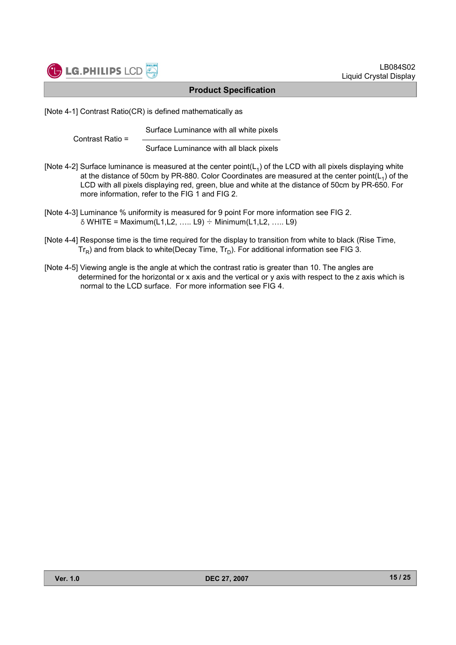

[Note 4-1] Contrast Ratio(CR) is defined mathematically as

Surface Luminance with all white pixels

```
Contrast Ratio =
```
Surface Luminance with all black pixels

- [Note 4-2] Surface luminance is measured at the center point( $L_1$ ) of the LCD with all pixels displaying white at the distance of 50cm by PR-880. Color Coordinates are measured at the center point( $L_1$ ) of the LCD with all pixels displaying red, green, blue and white at the distance of 50cm by PR-650. For more information, refer to the FIG 1 and FIG 2.
- [Note 4-3] Luminance % uniformity is measured for 9 point For more information see FIG 2.  $\delta$  WHITE = Maximum(L1,L2, ….. L9)  $\div$  Minimum(L1,L2, ….. L9)
- [Note 4-4] Response time is the time required for the display to transition from white to black (Rise Time,  $Tr_R$ ) and from black to white(Decay Time,  $Tr_D$ ). For additional information see FIG 3.
- [Note 4-5] Viewing angle is the angle at which the contrast ratio is greater than 10. The angles are determined for the horizontal or x axis and the vertical or y axis with respect to the z axis which is normal to the LCD surface. For more information see FIG 4.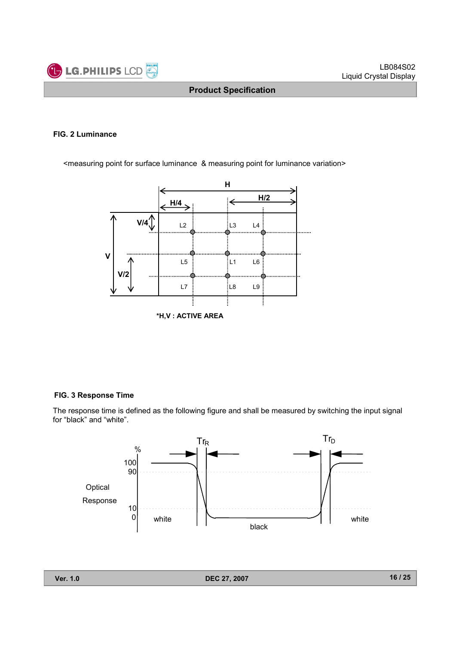

#### **FIG. 2 Luminance**

<measuring point for surface luminance & measuring point for luminance variation>



#### **FIG. 3 Response Time**

The response time is defined as the following figure and shall be measured by switching the input signal for "black" and "white".

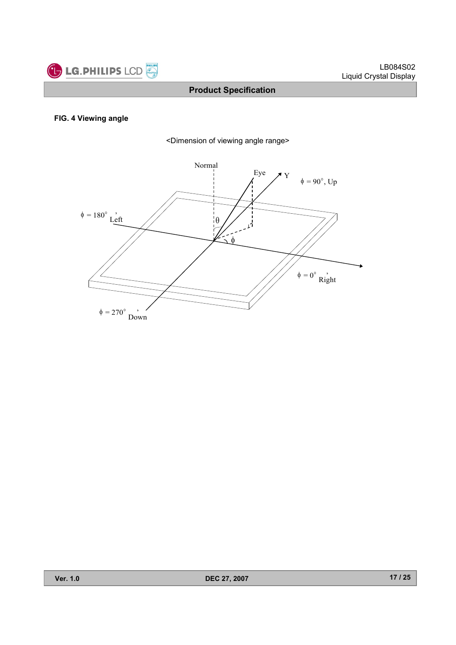

#### **FIG. 4 Viewing angle**



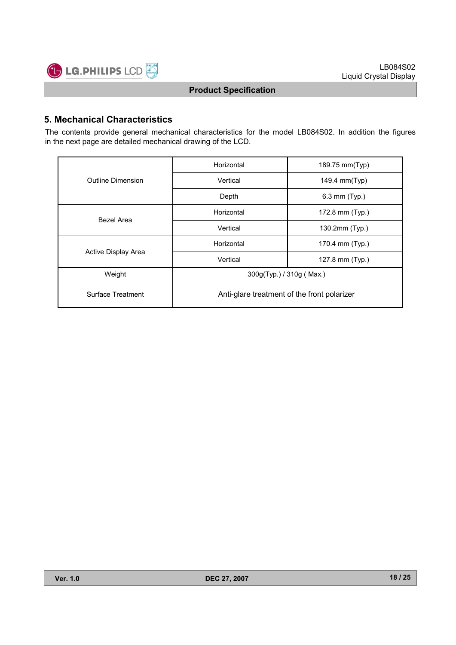

# **5. Mechanical Characteristics**

The contents provide general mechanical characteristics for the model LB084S02. In addition the figures in the next page are detailed mechanical drawing of the LCD.

|                          | Horizontal                                  | 189.75 mm(Typ)  |  |  |  |
|--------------------------|---------------------------------------------|-----------------|--|--|--|
| <b>Outline Dimension</b> | Vertical                                    | 149.4 mm(Typ)   |  |  |  |
|                          | Depth                                       | 6.3 mm (Typ.)   |  |  |  |
| Bezel Area               | Horizontal                                  | 172.8 mm (Typ.) |  |  |  |
|                          | Vertical                                    | 130.2mm (Typ.)  |  |  |  |
|                          | Horizontal                                  | 170.4 mm (Typ.) |  |  |  |
| Active Display Area      | Vertical                                    | 127.8 mm (Typ.) |  |  |  |
| Weight                   | 300g(Typ.) / 310g (Max.)                    |                 |  |  |  |
| Surface Treatment        | Anti-glare treatment of the front polarizer |                 |  |  |  |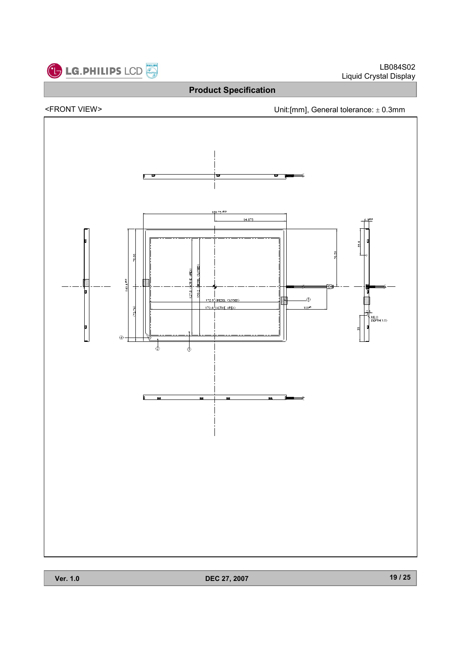

<FRONT VIEW> Unit:[mm], General tolerance: ± 0.3mm

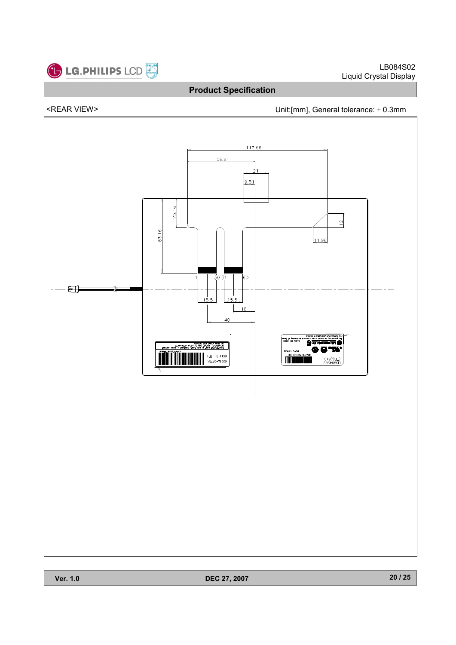

# <REAR VIEW> Unit:[mm], General tolerance: ± 0.3mm

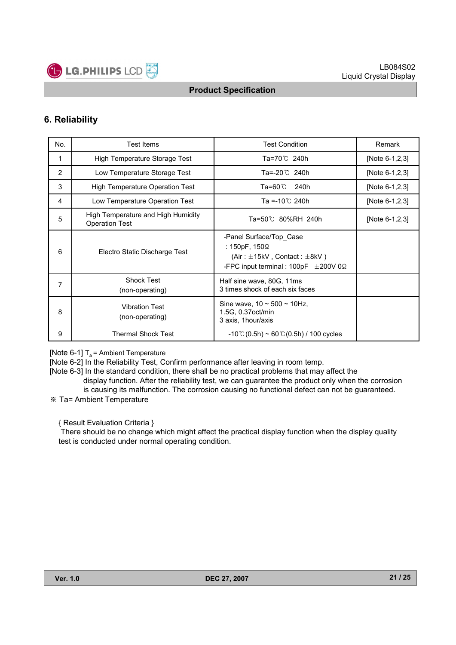

# **6. Reliability**

| No. | <b>Test Items</b>                                           | <b>Test Condition</b>                                                                                                                   | Remark         |
|-----|-------------------------------------------------------------|-----------------------------------------------------------------------------------------------------------------------------------------|----------------|
|     | High Temperature Storage Test                               | Ta=70℃ 240h                                                                                                                             | [Note 6-1,2,3] |
| 2   | Low Temperature Storage Test                                | Ta=-20℃ 240h                                                                                                                            | [Note 6-1,2,3] |
| 3   | <b>High Temperature Operation Test</b>                      | Ta=60℃<br>240h                                                                                                                          | [Note 6-1,2,3] |
| 4   | Low Temperature Operation Test                              | Ta =-10 $^{\circ}$ C 240h                                                                                                               | [Note 6-1,2,3] |
| 5   | High Temperature and High Humidity<br><b>Operation Test</b> | Ta=50℃ 80%RH 240h                                                                                                                       | [Note 6-1,2,3] |
| 6   | Electro Static Discharge Test                               | -Panel Surface/Top Case<br>: 150pF, 150Ω<br>(Air: $\pm$ 15kV, Contact: $\pm$ 8kV)<br>-FPC input terminal : 100pF $\pm 200$ V 0 $\Omega$ |                |
| 7   | <b>Shock Test</b><br>(non-operating)                        | Half sine wave, 80G, 11ms<br>3 times shock of each six faces                                                                            |                |
| 8   | <b>Vibration Test</b><br>(non-operating)                    | Sine wave, $10 \sim 500 \sim 10$ Hz,<br>1.5G, 0.37 oct/min<br>3 axis, 1hour/axis                                                        |                |
| 9   | Thermal Shock Test                                          | $-10^{\circ}$ C(0.5h) ~ 60 $^{\circ}$ C(0.5h) / 100 cycles                                                                              |                |

[Note 6-1]  $T_a$  = Ambient Temperature

[Note 6-2] In the Reliability Test, Confirm performance after leaving in room temp.

[Note 6-3] In the standard condition, there shall be no practical problems that may affect the display function. After the reliability test, we can guarantee the product only when the corrosion is causing its malfunction. The corrosion causing no functional defect can not be guaranteed.

Ta= Ambient Temperature

{ Result Evaluation Criteria }

There should be no change which might affect the practical display function when the display quality test is conducted under normal operating condition.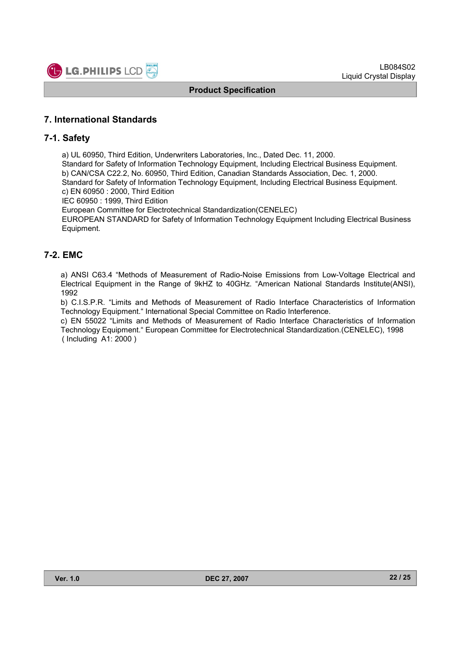

#### **7. International Standards**

#### **7-1. Safety**

a) UL 60950, Third Edition, Underwriters Laboratories, Inc., Dated Dec. 11, 2000.

Standard for Safety of Information Technology Equipment, Including Electrical Business Equipment. b) CAN/CSA C22.2, No. 60950, Third Edition, Canadian Standards Association, Dec. 1, 2000. Standard for Safety of Information Technology Equipment, Including Electrical Business Equipment.

c) EN 60950 : 2000, Third Edition IEC 60950 : 1999, Third Edition

European Committee for Electrotechnical Standardization(CENELEC)

EUROPEAN STANDARD for Safety of Information Technology Equipment Including Electrical Business Equipment.

# **7-2. EMC**

a) ANSI C63.4 "Methods of Measurement of Radio-Noise Emissions from Low-Voltage Electrical and Electrical Equipment in the Range of 9kHZ to 40GHz. "American National Standards Institute(ANSI), 1992

b) C.I.S.P.R. "Limits and Methods of Measurement of Radio Interface Characteristics of Information Technology Equipment." International Special Committee on Radio Interference.

c) EN 55022 "Limits and Methods of Measurement of Radio Interface Characteristics of Information Technology Equipment." European Committee for Electrotechnical Standardization.(CENELEC), 1998 ( Including A1: 2000 )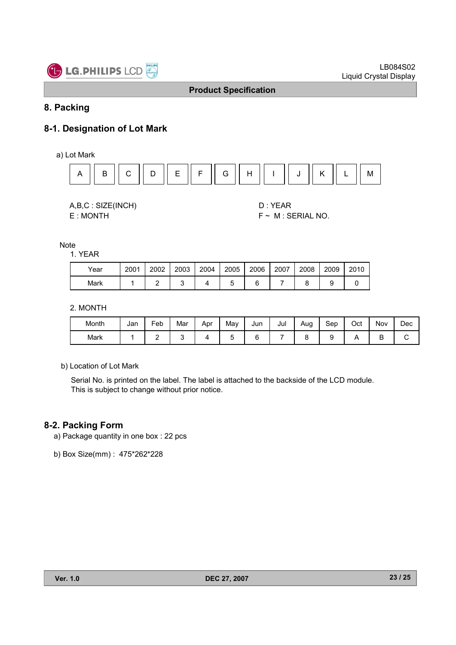

# **8. Packing**

# **8-1. Designation of Lot Mark**

a) Lot Mark



A,B,C : SIZE(INCH) D : YEAR

E : MONTH F ~ M : SERIAL NO.

Note

1. YEAR

| Year | 2001 | 2002 | 2003 | 2004 | 2005 | 2006 | 2007 | 2008 | 2009 | 2010 |
|------|------|------|------|------|------|------|------|------|------|------|
| Mark |      |      |      |      |      |      |      |      |      |      |

2. MONTH

| Month | Jan | Feb | Mar | Apr | May | Jun | Jul | Aug | Sep | Oct | Nov | Dec |
|-------|-----|-----|-----|-----|-----|-----|-----|-----|-----|-----|-----|-----|
| Mark  |     | -   |     |     |     |     |     |     |     |     | -   |     |

b) Location of Lot Mark

Serial No. is printed on the label. The label is attached to the backside of the LCD module. This is subject to change without prior notice.

#### **8-2. Packing Form**

a) Package quantity in one box : 22 pcs

b) Box Size(mm) : 475\*262\*228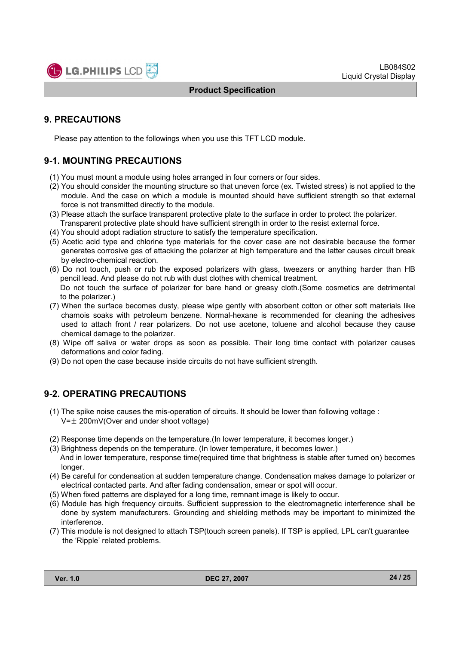# **9. PRECAUTIONS**

Please pay attention to the followings when you use this TFT LCD module.

# **9-1. MOUNTING PRECAUTIONS**

- (1) You must mount a module using holes arranged in four corners or four sides.
- (2) You should consider the mounting structure so that uneven force (ex. Twisted stress) is not applied to the module. And the case on which a module is mounted should have sufficient strength so that external force is not transmitted directly to the module.
- (3) Please attach the surface transparent protective plate to the surface in order to protect the polarizer. Transparent protective plate should have sufficient strength in order to the resist external force.
- (4) You should adopt radiation structure to satisfy the temperature specification.
- (5) Acetic acid type and chlorine type materials for the cover case are not desirable because the former generates corrosive gas of attacking the polarizer at high temperature and the latter causes circuit break by electro-chemical reaction.
- (6) Do not touch, push or rub the exposed polarizers with glass, tweezers or anything harder than HB pencil lead. And please do not rub with dust clothes with chemical treatment. Do not touch the surface of polarizer for bare hand or greasy cloth.(Some cosmetics are detrimental to the polarizer.)
- (7) When the surface becomes dusty, please wipe gently with absorbent cotton or other soft materials like chamois soaks with petroleum benzene. Normal-hexane is recommended for cleaning the adhesives used to attach front / rear polarizers. Do not use acetone, toluene and alcohol because they cause chemical damage to the polarizer.
- (8) Wipe off saliva or water drops as soon as possible. Their long time contact with polarizer causes deformations and color fading.
- (9) Do not open the case because inside circuits do not have sufficient strength.

# **9-2. OPERATING PRECAUTIONS**

- (1) The spike noise causes the mis-operation of circuits. It should be lower than following voltage :  $V=\pm 200$ mV(Over and under shoot voltage)
- (2) Response time depends on the temperature.(In lower temperature, it becomes longer.)
- (3) Brightness depends on the temperature. (In lower temperature, it becomes lower.) And in lower temperature, response time(required time that brightness is stable after turned on) becomes
- longer. (4) Be careful for condensation at sudden temperature change. Condensation makes damage to polarizer or electrical contacted parts. And after fading condensation, smear or spot will occur.
- (5) When fixed patterns are displayed for a long time, remnant image is likely to occur.
- (6) Module has high frequency circuits. Sufficient suppression to the electromagnetic interference shall be
- done by system manufacturers. Grounding and shielding methods may be important to minimized the interference.
- (7) This module is not designed to attach TSP(touch screen panels). If TSP is applied, LPL can't guarantee the 'Ripple' related problems.